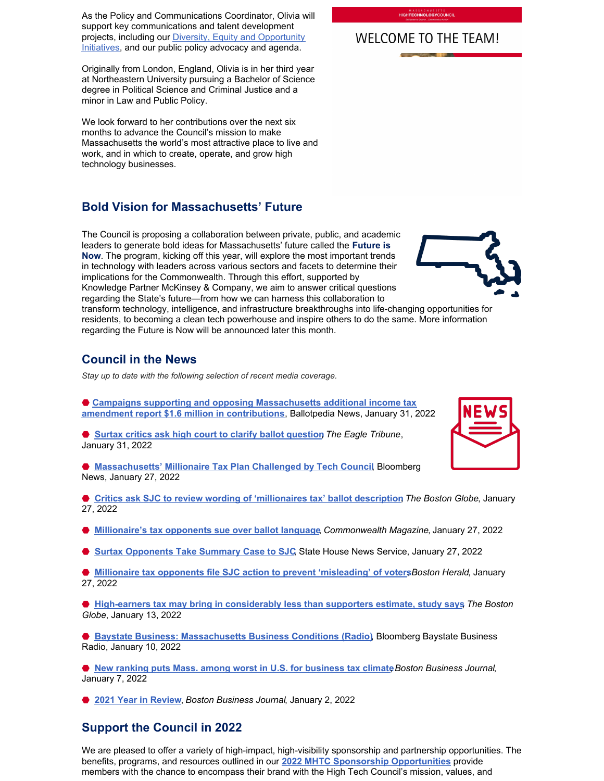As the Policy and Communications Coordinator, Olivia will support key communications and talent development [projects, including our Diversity, Equity and Opportunity](http://www.mhtc.org/diversity-equity-and-opportunity/) Initiatives, and our public policy advocacy and agenda.

Originally from London, England, Olivia is in her third year at Northeastern University pursuing a Bachelor of Science degree in Political Science and Criminal Justice and a minor in Law and Public Policy.

We look forward to her contributions over the next six months to advance the Council's mission to make Massachusetts the world's most attractive place to live and work, and in which to create, operate, and grow high technology businesses.

# **Bold Vision for Massachusetts' Future**

The Council is proposing a collaboration between private, public, and academic leaders to generate bold ideas for Massachusetts' future called the **Future is Now**. The program, kicking off this year, will explore the most important trends in technology with leaders across various sectors and facets to determine their implications for the Commonwealth. Through this effort, supported by Knowledge Partner McKinsey & Company, we aim to answer critical questions regarding the State's future—from how we can harness this collaboration to



transform technology, intelligence, and infrastructure breakthroughs into life-changing opportunities for residents, to becoming a clean tech powerhouse and inspire others to do the same. More information regarding the Future is Now will be announced later this month.

# **Council in the News**

*Stay up to date with the following selection of recent media coverage.*

● [Campaigns supporting and opposing Massachusetts additional income tax](https://news.ballotpedia.org/2022/01/31/campaigns-supporting-and-opposing-massachusetts-additional-income-tax-amendment-report-1-6-million-in-contributions/) **amendment report \$1.6 million in contributions**, Ballotpedia News, January 31, 2022

**● [Surtax critics ask high court to clarify ballot question](https://www.eagletribune.com/surtax-opponents-ask-high-court-to-clarify-referendum/article_3652556e-803b-11ec-bac0-af028f3ea316.html)** The Eagle Tribune, January 31, 2022

⬣ **[Massachusetts' Millionaire Tax Plan Challenged by Tech Counci](https://www.bloomberg.com/news/articles/2022-01-27/millionaire-tax-plan-in-massachusetts-challenged-by-tech-backers)l**, Bloomberg News, January 27, 2022

⬣ **[Critics ask SJC to review wording of 'millionaires tax' ballot description](https://www.bostonglobe.com/2022/01/27/business/critics-ask-sjc-review-wording-millionaires-tax-ballot-description/)**, *The Boston Globe*, January 27, 2022

⬣ **[Millionaire's tax opponents sue over ballot language](https://commonwealthmagazine.org/state-government/millionaires-tax-opponents-sue-over-ballot-language/)**, *Commonwealth Magazine*, January 27, 2022

**● [Surtax Opponents Take Summary Case to SJC](https://www.statehousenews.com/email/a/2022178?key=2d3048)** State House News Service, January 27, 2022

◆ [Millionaire tax opponents file SJC action to prevent 'misleading' of voter](https://www.bostonherald.com/2022/01/27/millionaire-tax-opponents-file-sjc-action-to-prevent-misleading-of-voters/)s*Boston Herald*, January 27, 2022

⬣ **[High-earners tax may bring in considerably less than supporters estimate, study says](https://www.bostonglobe.com/2022/01/13/business/study-high-earners-tax-may-bring-considerably-less-than-supporters-estimate/)**, *The Boston Globe*, January 13, 2022

⬣ **[Baystate Business: Massachusetts Business Conditions \(Radio\)](https://www.bloomberg.com/news/audio/2022-01-10/baystate-business-massachusetts-business-conditions-radio)**, Bloomberg Baystate Business Radio, January 10, 2022

**● [New ranking puts Mass. among worst in U.S. for business tax climate](https://www.bizjournals.com/boston/news/2022/01/07/new-ranking-puts-mass-among-worst-for-business-ta.html) Boston Business Journal,** January 7, 2022

⬣ **[2021 Year in Review](https://www.bizjournals.com/boston/news/2022/01/02/here-are-the-12-biggest-business-stories-of-2021.html)**, *Boston Business Journal*, January 2, 2022

# **Support the Council in 2022**

We are pleased to offer a variety of high-impact, high-visibility sponsorship and partnership opportunities. The benefits, programs, and resources outlined in our **[2022 MHTC Sponsorship Opportunities](http://www.mhtc.org/wp-content/uploads/2021/12/12.6.21_MHTC-2022-Sponsorship-Opportunities.pdf)** provide members with the chance to encompass their brand with the High Tech Council's mission, values, and

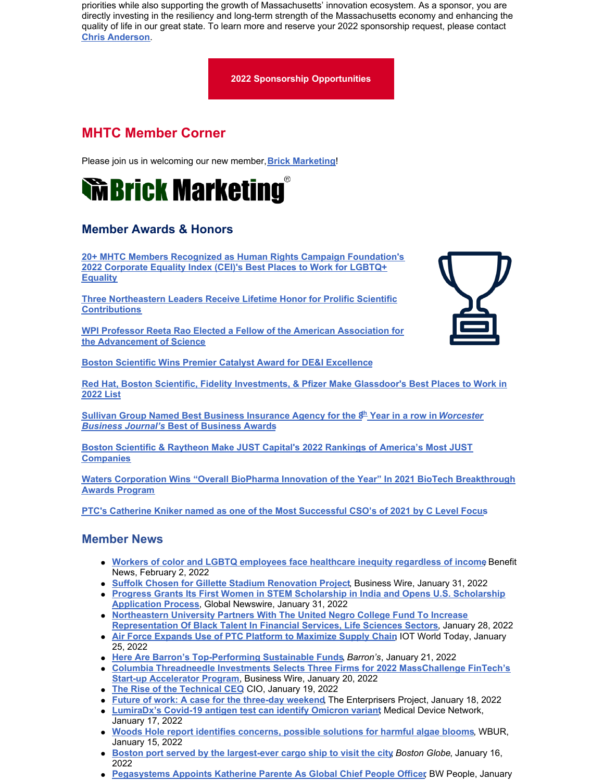priorities while also supporting the growth of Massachusetts' innovation ecosystem. As a sponsor, you are directly investing in the resiliency and long-term strength of the Massachusetts economy and enhancing the quality of life in our great state. To learn more and reserve your 2022 sponsorship request, please contact **[Chris Anderson](mailto:chris@mhtc.org)**.

#### **[2022 Sponsorship](http://www.mhtc.org/wp-content/uploads/2021/12/12.6.21_MHTC-2022-Sponsorship-Opportunities.pdf) Opportunities**

# **MHTC Member Corner**

Please join us in welcoming our new member, **[Brick Marketing](https://www.brickmarketing.com/)**!

# **Wibelieur Marketing**

# **Member Awards & Honors**

**[20+ MHTC Members Recognized as Human Rights Campaign Foundation's](https://hrc-prod-requests.s3-us-west-2.amazonaws.com/CEI-2022-Appendices-C.pdf) 2022 Corporate Equality Index (CEI)'s Best Places to Work for LGBTQ+ Equality**

**[Three Northeastern Leaders Receive Lifetime Honor for Prolific Scientific](https://news.northeastern.edu/2022/01/27/aaas-fellowship-awards/?utm_source=homepage&utm_medium=website&utm_campaign=edu#_ga=2.214184469.387714208.1643664819-1517191705.1642630122) Contributions**

**[WPI Professor Reeta Rao Elected a Fellow of the American Association for](https://www.wpi.edu/news/wpi-professor-reeta-rao-elected-fellow-american-association-advancement-science) the Advancement of Science**

**[Boston Scientific Wins Premier Catalyst Award for DE&I Excellence](https://news.bostonscientific.com/Boston-Scientific-Wins-Premier-Catalyst-Award-for-DEI-Excellence#:~:text=Boston Scientific was honored with,ceremony on March 17%2C 2022.)**



**[Sullivan Group Named Best Business Insurance Agency for the 8](https://www.wbjournal.com/article/wbj-awards-its-best-of-business-to-59-honorees)[th](https://www.wbjournal.com/article/wbj-awards-its-best-of-business-to-59-honorees) [Year in a row in](https://www.wbjournal.com/article/wbj-awards-its-best-of-business-to-59-honorees)** *Worcester Business Journal's* **[Best of Business Awards](https://www.wbjournal.com/article/wbj-awards-its-best-of-business-to-59-honorees)**

**[Boston Scientific & Raytheon Make JUST Capital's 2022 Rankings of America's Most JUST](https://justcapital.com/rankings/) Companies**

**[Waters Corporation Wins "Overall BioPharma Innovation of the Year" In 2021 BioTech Breakthrough](http://www.prweb.com/releases/waters_corporation_wins_overall_biopharma_innovation_of_the_year_in_2021_biotech_breakthrough_awards_program/prweb18407891.htm) Awards Program**

**[PTC's Catherine Kniker named as one of the Most Successful CSO's of 2021 by C Level Focus](https://c-levelfocus.com/CATHERINE-KNIKER-Executive-Vice-President-and-Chief-Strategy-Officer-of-PTC-Awarded-Successful-CSOs-2021-by-clevelfocus.html)**

## **Member News**

- **[Workers of color and LGBTQ employees face healthcare inequity regardless of income](https://www.benefitnews.com/news/mckinsey-on-healthcare-inequity-for-poc-and-lgbtq-employees) Benefit** News, February 2, 2022
- **[Suffolk Chosen for Gillette Stadium Renovation Project](https://www.businesswire.com/news/home/20220131005046/en/)**, Business Wire, January 31, 2022
- **[Progress Grants Its First Women in STEM Scholarship in India and Opens U.S. Scholarship](https://www.globenewswire.com/news-release/2022/01/31/2375824/0/en/Progress-Grants-Its-First-Women-in-STEM-Scholarship-in-India-and-Opens-U-S-Scholarship-Application-Process.html) Application Process**, Global Newswire, January 31, 2022
- **[Northeastern University Partners With The United Negro College Fund To Increase](https://news.northeastern.edu/2022/01/28/uncf-partnership-financial-services-diversity/?utm_source=homepage&utm_medium=website&utm_campaign=edu#_ga=2.221937306.387714208.1643664819-1517191705.1642630122) Representation Of Black Talent In Financial Services, Life Sciences Sectors**, January 28, 2022
- **[Air Force Expands Use of PTC Platform to Maximize Supply Chain](https://www.iotworldtoday.com/2022/01/25/air-force-expands-use-of-ptc-platform-to-maximize-supply-chain/)**, IOT World Today, January 25, 2022
- **[Here Are Barron's Top-Performing Sustainable Funds](https://www.barrons.com/articles/top-sustainable-investment-funds-ranking-51642723579)**, *Barron's*, January 21, 2022
- **[Columbia Threadneedle Investments Selects Three Firms for 2022 MassChallenge FinTech's](https://www.businesswire.com/news/home/20220120005086/en/Columbia-Threadneedle-Investments-Selects-Three-Firms-for-2022-MassChallenge-FinTech%E2%80%99s-Start-up-Accelerator-Program) Start-up Accelerator Program**, Business Wire, January 20, 2022
- **The Rise of the Technical CEQ CIO, January 19, 2022**
- **[Future of work: A case for the three-day weekend](https://enterprisersproject.com/article/2022/1/future-work-case-3-day-weekend)**, The Enterprisers Project, January 18, 2022
- **[LumiraDx's Covid-19 antigen test can identify Omicron varian](https://www.medicaldevice-network.com/news/lumiradx-covid-19-antigen-omicron-variant/)t Medical Device Network,** January 17, 2022
- **[Woods Hole report identifies concerns, possible solutions for harmful algae blooms](https://www.wbur.org/news/2022/01/15/toxic-algae-report-woods-hole)**, WBUR, January 15, 2022
- **[Boston port served by the largest-ever cargo ship to visit the city](https://www.bostonglobe.com/2022/01/16/metro/boston-port-served-by-largest-ever-cargo-ship-visit-city/)**, *Boston Globe*, January 16, 2022
- **[Pegasystems Appoints Katherine Parente As Global Chief People Officer](http://bwpeople.businessworld.in/article/Pegasystems-Appoints-Katherine-Parente-As-Global-Chief-People-Officer-/06-01-2022-416846/)**, BW People, January